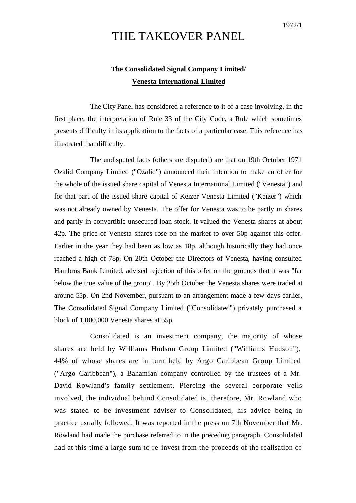## THE TAKEOVER PANEL

## **The Consolidated Signal Company Limited/ Venesta International Limited**

The City Panel has considered a reference to it of a case involving, in the first place, the interpretation of Rule 33 of the City Code, a Rule which sometimes presents difficulty in its application to the facts of a particular case. This reference has illustrated that difficulty.

The undisputed facts (others are disputed) are that on 19th October 1971 Ozalid Company Limited ("Ozalid") announced their intention to make an offer for the whole of the issued share capital of Venesta International Limited ("Venesta") and for that part of the issued share capital of Keizer Venesta Limited ("Keizer") which was not already owned by Venesta. The offer for Venesta was to be partly in shares and partly in convertible unsecured loan stock. It valued the Venesta shares at about 42p. The price of Venesta shares rose on the market to over 50p against this offer. Earlier in the year they had been as low as 18p, although historically they had once reached a high of 78p. On 20th October the Directors of Venesta, having consulted Hambros Bank Limited, advised rejection of this offer on the grounds that it was "far below the true value of the group". By 25th October the Venesta shares were traded at around 55p. On 2nd November, pursuant to an arrangement made a few days earlier, The Consolidated Signal Company Limited ("Consolidated") privately purchased a block of 1,000,000 Venesta shares at 55p.

Consolidated is an investment company, the majority of whose shares are held by Williams Hudson Group Limited ("Williams Hudson"), 44% of whose shares are in turn held by Argo Caribbean Group Limited ("Argo Caribbean"), a Bahamian company controlled by the trustees of a Mr. David Rowland's family settlement. Piercing the several corporate veils involved, the individual behind Consolidated is, therefore, Mr. Rowland who was stated to be investment adviser to Consolidated, his advice being in practice usually followed. It was reported in the press on 7th November that Mr. Rowland had made the purchase referred to in the preceding paragraph. Consolidated had at this time a large sum to re-invest from the proceeds of the realisation of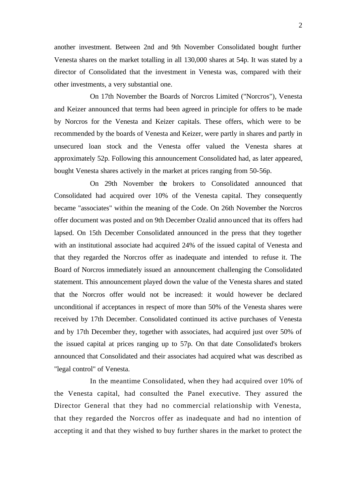another investment. Between 2nd and 9th November Consolidated bought further Venesta shares on the market totalling in all 130,000 shares at 54p. It was stated by a director of Consolidated that the investment in Venesta was, compared with their other investments, a very substantial one.

On 17th November the Boards of Norcros Limited ("Norcros"), Venesta and Keizer announced that terms had been agreed in principle for offers to be made by Norcros for the Venesta and Keizer capitals. These offers, which were to be recommended by the boards of Venesta and Keizer, were partly in shares and partly in unsecured loan stock and the Venesta offer valued the Venesta shares at approximately 52p. Following this announcement Consolidated had, as later appeared, bought Venesta shares actively in the market at prices ranging from 50-56p.

On 29th November the brokers to Consolidated announced that Consolidated had acquired over 10% of the Venesta capital. They consequently became "associates" within the meaning of the Code. On 26th November the Norcros offer document was posted and on 9th December Ozalid anno unced that its offers had lapsed. On 15th December Consolidated announced in the press that they together with an institutional associate had acquired 24% of the issued capital of Venesta and that they regarded the Norcros offer as inadequate and intended to refuse it. The Board of Norcros immediately issued an announcement challenging the Consolidated statement. This announcement played down the value of the Venesta shares and stated that the Norcros offer would not be increased: it would however be declared unconditional if acceptances in respect of more than 50% of the Venesta shares were received by 17th December. Consolidated continued its active purchases of Venesta and by 17th December they, together with associates, had acquired just over 50% of the issued capital at prices ranging up to 57p. On that date Consolidated's brokers announced that Consolidated and their associates had acquired what was described as "legal control" of Venesta.

In the meantime Consolidated, when they had acquired over 10% of the Venesta capital, had consulted the Panel executive. They assured the Director General that they had no commercial relationship with Venesta, that they regarded the Norcros offer as inadequate and had no intention of accepting it and that they wished to buy further shares in the market to protect the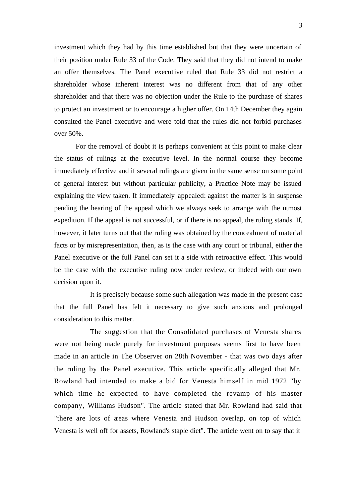investment which they had by this time established but that they were uncertain of their position under Rule 33 of the Code. They said that they did not intend to make an offer themselves. The Panel executive ruled that Rule 33 did not restrict a shareholder whose inherent interest was no different from that of any other shareholder and that there was no objection under the Rule to the purchase of shares to protect an investment or to encourage a higher offer. On 14th December they again consulted the Panel executive and were told that the rules did not forbid purchases over 50%.

For the removal of doubt it is perhaps convenient at this point to make clear the status of rulings at the executive level. In the normal course they become immediately effective and if several rulings are given in the same sense on some point of general interest but without particular publicity, a Practice Note may be issued explaining the view taken. If immediately appealed: against the matter is in suspense pending the hearing of the appeal which we always seek to arrange with the utmost expedition. If the appeal is not successful, or if there is no appeal, the ruling stands. If, however, it later turns out that the ruling was obtained by the concealment of material facts or by misrepresentation, then, as is the case with any court or tribunal, either the Panel executive or the full Panel can set it a side with retroactive effect. This would be the case with the executive ruling now under review, or indeed with our own decision upon it.

It is precisely because some such allegation was made in the present case that the full Panel has felt it necessary to give such anxious and prolonged consideration to this matter.

The suggestion that the Consolidated purchases of Venesta shares were not being made purely for investment purposes seems first to have been made in an article in The Observer on 28th November - that was two days after the ruling by the Panel executive. This article specifically alleged that Mr. Rowland had intended to make a bid for Venesta himself in mid 1972 "by which time he expected to have completed the revamp of his master company, Williams Hudson". The article stated that Mr. Rowland had said that "there are lots of areas where Venesta and Hudson overlap, on top of which Venesta is well off for assets, Rowland's staple diet". The article went on to say that it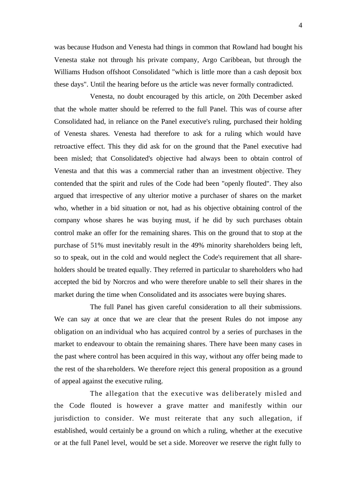was because Hudson and Venesta had things in common that Rowland had bought his Venesta stake not through his private company, Argo Caribbean, but through the Williams Hudson offshoot Consolidated "which is little more than a cash deposit box these days". Until the hearing before us the article was never formally contradicted.

Venesta, no doubt encouraged by this article, on 20th December asked that the whole matter should be referred to the full Panel. This was of course after Consolidated had, in reliance on the Panel executive's ruling, purchased their holding of Venesta shares. Venesta had therefore to ask for a ruling which would have retroactive effect. This they did ask for on the ground that the Panel executive had been misled; that Consolidated's objective had always been to obtain control of Venesta and that this was a commercial rather than an investment objective. They contended that the spirit and rules of the Code had been "openly flouted". They also argued that irrespective of any ulterior motive a purchaser of shares on the market who, whether in a bid situation or not, had as his objective obtaining control of the company whose shares he was buying must, if he did by such purchases obtain control make an offer for the remaining shares. This on the ground that to stop at the purchase of 51% must inevitably result in the 49% minority shareholders being left, so to speak, out in the cold and would neglect the Code's requirement that all shareholders should be treated equally. They referred in particular to shareholders who had accepted the bid by Norcros and who were therefore unable to sell their shares in the market during the time when Consolidated and its associates were buying shares.

The full Panel has given careful consideration to all their submissions. We can say at once that we are clear that the present Rules do not impose any obligation on an individual who has acquired control by a series of purchases in the market to endeavour to obtain the remaining shares. There have been many cases in the past where control has been acquired in this way, without any offer being made to the rest of the sha reholders. We therefore reject this general proposition as a ground of appeal against the executive ruling.

The allegation that the executive was deliberately misled and the Code flouted is however a grave matter and manifestly within our jurisdiction to consider. We must reiterate that any such allegation, if established, would certainly be a ground on which a ruling, whether at the executive or at the full Panel level, would be set a side. Moreover we reserve the right fully to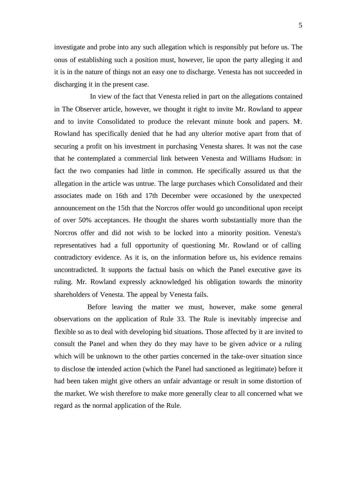5

investigate and probe into any such allegation which is responsibly put before us. The onus of establishing such a position must, however, lie upon the party alleging it and it is in the nature of things not an easy one to discharge. Venesta has not succeeded in discharging it in the present case.

In view of the fact that Venesta relied in part on the allegations contained in The Observer article, however, we thought it right to invite Mr. Rowland to appear and to invite Consolidated to produce the relevant minute book and papers. Mr. Rowland has specifically denied that he had any ulterior motive apart from that of securing a profit on his investment in purchasing Venesta shares. It was not the case that he contemplated a commercial link between Venesta and Williams Hudson: in fact the two companies had little in common. He specifically assured us that the allegation in the article was untrue. The large purchases which Consolidated and their associates made on 16th and 17th December were occasioned by the unexpected announcement on the 15th that the Norcros offer would go unconditional upon receipt of over 50% acceptances. He thought the shares worth substantially more than the Norcros offer and did not wish to be locked into a minority position. Venesta's representatives had a full opportunity of questioning Mr. Rowland or of calling contradictory evidence. As it is, on the information before us, his evidence remains uncontradicted. It supports the factual basis on which the Panel executive gave its ruling. Mr. Rowland expressly acknowledged his obligation towards the minority shareholders of Venesta. The appeal by Venesta fails.

Before leaving the matter we must, however, make some general observations on the application of Rule 33. The Rule is inevitably imprecise and flexible so as to deal with developing bid situations. Those affected by it are invited to consult the Panel and when they do they may have to be given advice or a ruling which will be unknown to the other parties concerned in the take-over situation since to disclose the intended action (which the Panel had sanctioned as legitimate) before it had been taken might give others an unfair advantage or result in some distortion of the market. We wish therefore to make more generally clear to all concerned what we regard as the normal application of the Rule.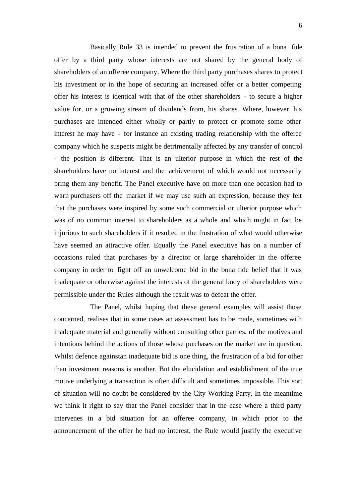Basically Rule 33 is intended to prevent the frustration of a bona fide offer by a third party whose interests are not shared by the general body of shareholders of an offeree company. Where the third party purchases shares to protect his investment or in the hope of securing an increased offer or a better competing offer his interest is identical with that of the other shareholders - to secure a higher value for, or a growing stream of dividends from, his shares. Where, however, his purchases are intended either wholly or partly to protect or promote some other interest he may have - for instance an existing trading relationship with the offeree company which he suspects might be detrimentally affected by any transfer of control - the position is different. That is an ulterior purpose in which the rest of the shareholders have no interest and the achievement of which would not necessarily bring them any benefit. The Panel executive have on more than one occasion had to warn purchasers off the market if we may use such an expression, because they felt that the purchases were inspired by some such commercial or ulterior purpose which was of no common interest to shareholders as a whole and which might in fact be injurious to such shareholders if it resulted in the frustration of what would otherwise have seemed an attractive offer. Equally the Panel executive has on a number of occasions ruled that purchases by a director or large shareholder in the offeree company in order to fight off an unwelcome bid in the bona fide belief that it was inadequate or otherwise against the interests of the general body of shareholders were permissible under the Rules although the result was to defeat the offer.

The Panel, whilst hoping that these general examples will assist those concerned, realises that in some cases an assessment has to be made, sometimes with inadequate material and generally without consulting other parties, of the motives and intentions behind the actions of those whose purchases on the market are in question. Whilst defence againstan inadequate bid is one thing, the frustration of a bid for other than investment reasons is another. But the elucidation and establishment of the true motive underlying a transaction is often difficult and sometimes impossible. This sort of situation will no doubt be considered by the City Working Party. In the meantime we think it right to say that the Panel consider that in the case where a third party intervenes in a bid situation for an offeree company, in which prior to the announcement of the offer he had no interest, the Rule would justify the executive